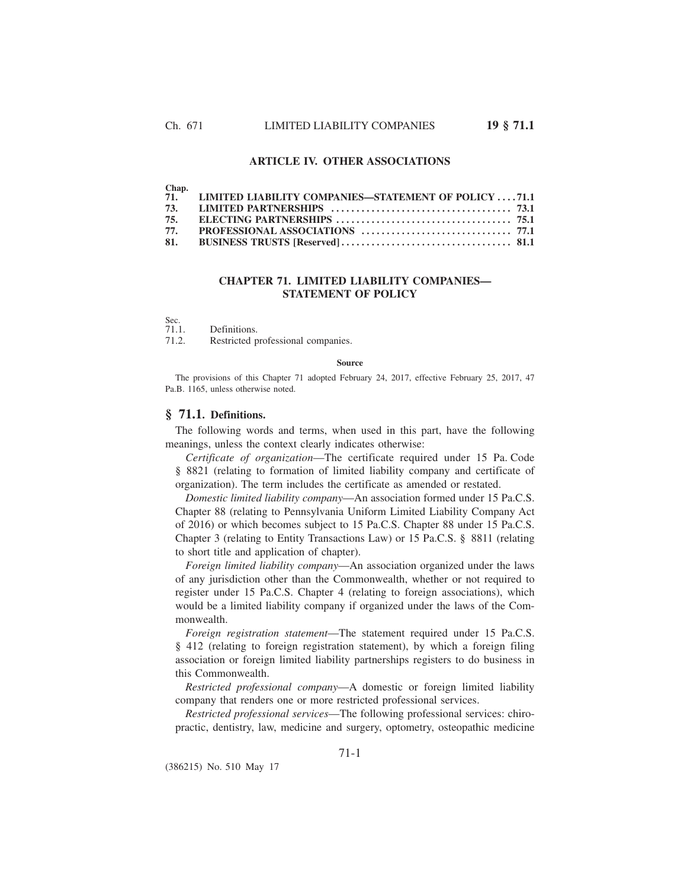### **ARTICLE IV. OTHER ASSOCIATIONS**

| M |
|---|
|---|

| 71. LIMITED LIABILITY COMPANIES—STATEMENT OF POLICY 71.1 |  |
|----------------------------------------------------------|--|
|                                                          |  |
|                                                          |  |
|                                                          |  |
|                                                          |  |

## **CHAPTER 71. LIMITED LIABILITY COMPANIES— STATEMENT OF POLICY**

Sec.<br>71.1.

Definitions.

71.2. Restricted professional companies.

#### **Source**

The provisions of this Chapter 71 adopted February 24, 2017, effective February 25, 2017, 47 Pa.B. 1165, unless otherwise noted.

## **§ 71.1. Definitions.**

The following words and terms, when used in this part, have the following meanings, unless the context clearly indicates otherwise:

*Certificate of organization*—The certificate required under 15 Pa. Code § 8821 (relating to formation of limited liability company and certificate of organization). The term includes the certificate as amended or restated.

*Domestic limited liability company*—An association formed under 15 Pa.C.S. Chapter 88 (relating to Pennsylvania Uniform Limited Liability Company Act of 2016) or which becomes subject to 15 Pa.C.S. Chapter 88 under 15 Pa.C.S. Chapter 3 (relating to Entity Transactions Law) or 15 Pa.C.S. § 8811 (relating to short title and application of chapter).

*Foreign limited liability company*—An association organized under the laws of any jurisdiction other than the Commonwealth, whether or not required to register under 15 Pa.C.S. Chapter 4 (relating to foreign associations), which would be a limited liability company if organized under the laws of the Commonwealth.

*Foreign registration statement*—The statement required under 15 Pa.C.S. § 412 (relating to foreign registration statement), by which a foreign filing association or foreign limited liability partnerships registers to do business in this Commonwealth.

*Restricted professional company*—A domestic or foreign limited liability company that renders one or more restricted professional services.

*Restricted professional services*—The following professional services: chiropractic, dentistry, law, medicine and surgery, optometry, osteopathic medicine

(386215) No. 510 May 17